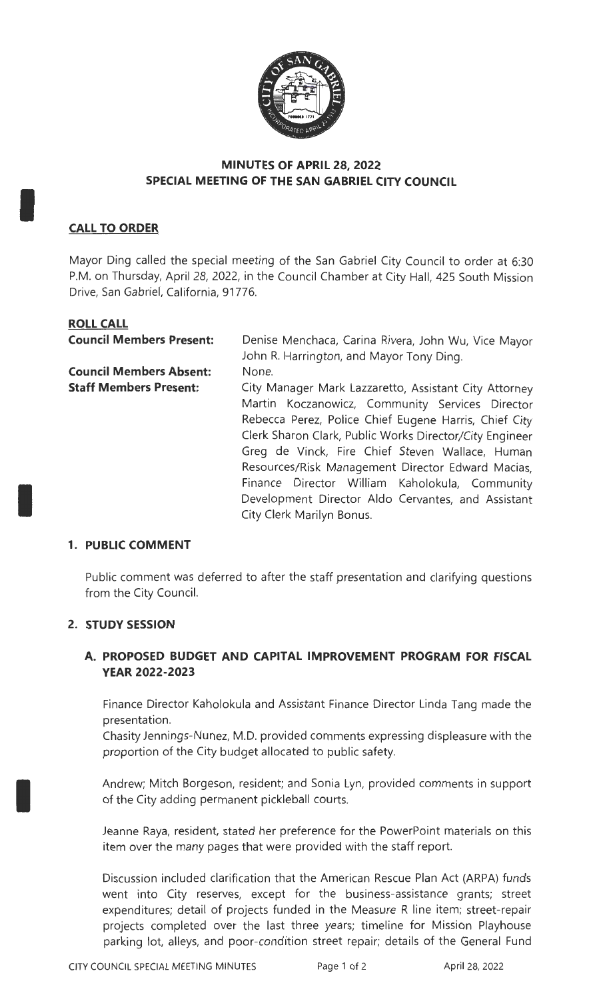

### **MINUTES OF APRIL 28, 2022 SPECIAL MEETING OF THE SAN GABRIEL CITY COUNCIL**

# **CALL TO ORDER**

I

I

I

Mayor Ding called the special meeting of the San Gabriel City Council to order at 6:30 P.M. on Thursday, April 28, 2022, in the Council Chamber at City Hall, 425 South Mission Drive, San Gabriel, California, 91776.

# **ROLL CALL**

| <b>Council Members Present:</b> | Denise Menchaca, Carina Rivera, John Wu, Vice Mayor<br>John R. Harrington, and Mayor Tony Ding.                                                                                                                                                                                                                                                                                                                  |
|---------------------------------|------------------------------------------------------------------------------------------------------------------------------------------------------------------------------------------------------------------------------------------------------------------------------------------------------------------------------------------------------------------------------------------------------------------|
| <b>Council Members Absent:</b>  | None.                                                                                                                                                                                                                                                                                                                                                                                                            |
| <b>Staff Members Present:</b>   | City Manager Mark Lazzaretto, Assistant City Attorney                                                                                                                                                                                                                                                                                                                                                            |
|                                 | Martin Koczanowicz, Community Services Director<br>Rebecca Perez, Police Chief Eugene Harris, Chief City<br>Clerk Sharon Clark, Public Works Director/City Engineer<br>Greg de Vinck, Fire Chief Steven Wallace, Human<br>Resources/Risk Management Director Edward Macias,<br>Finance Director William Kaholokula, Community<br>Development Director Aldo Cervantes, and Assistant<br>City Clerk Marilyn Bonus. |

## **1. PUBLIC COMMENT**

Public comment was deferred to after the staff presentation and clarifying questions from the City Council.

#### **2. STUDY SESSION**

## **A. PROPOSED BUDGET AND CAPITAL IMPROVEMENT PROGRAM FOR FISCAL YEAR 2022-2023**

Finance Director Kaholokula and Assistant Finance Director Linda Tang made the presentation.

Chasity Jennings-Nunez, M.D. provided comments expressing displeasure with the proportion of the City budget allocated to public safety.

Andrew; Mitch Borgeson, resident; and Sonia Lyn, provided comments in support of the City adding permanent pickleball courts.

Jeanne Raya, resident, stated her preference for the PowerPoint materials on this item over the many pages that were provided with the staff report.

Discussion included clarification that the American Rescue Plan Act (ARPA) funds went into City reserves, except for the business-assistance grants; street expenditures; detail of projects funded in the Measure R line item; street-repair projects completed over the last three years; timeline for Mission Playhouse parking lot, alleys, and poor-condition street repair; details of the General Fund